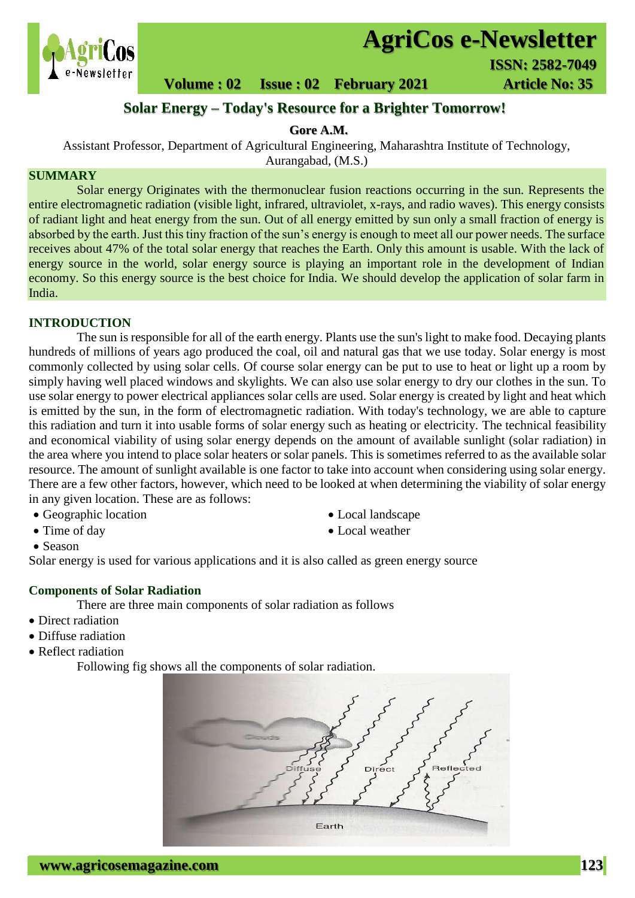

# **AgriCos e-Newsletter**

**1980 - 1990 - 1990 - 1990 - 1990 - 1990 - 1990 - 1990 - 1990 - 1990 - 1990 - 1990 - 1990 - 1990 - 1990 - 1990**<br>Newsletter

 **Volume : 02 Issue : 02 February 2021 Article No: 35** 

## **Solar Energy – Today's Resource for a Brighter Tomorrow!**

### **Gore A.M.**

Assistant Professor, Department of Agricultural Engineering, Maharashtra Institute of Technology,

Aurangabad, (M.S.)

### **SUMMARY**

 Solar energy Originates with the thermonuclear fusion reactions occurring in the sun. Represents the entire electromagnetic radiation (visible light, infrared, ultraviolet, x-rays, and radio waves). This energy consists of radiant light and heat energy from the sun. Out of all energy emitted by sun only a small fraction of energy is absorbed by the earth. Just this tiny fraction of the sun's energy is enough to meet all our power needs. The surface receives about 47% of the total solar energy that reaches the Earth. Only this amount is usable. With the lack of energy source in the world, solar energy source is playing an important role in the development of Indian economy. So this energy source is the best choice for India. We should develop the application of solar farm in India.

#### **INTRODUCTION**

The sun is responsible for all of the earth energy. Plants use the sun's light to make food. Decaying plants hundreds of millions of years ago produced the coal, oil and natural gas that we use today. Solar energy is most commonly collected by using solar cells. Of course solar energy can be put to use to heat or light up a room by simply having well placed windows and skylights. We can also use solar energy to dry our clothes in the sun. To use solar energy to power electrical appliances solar cells are used. Solar energy is created by light and heat which is emitted by the sun, in the form of electromagnetic radiation. With today's technology, we are able to capture this radiation and turn it into usable forms of solar energy such as heating or electricity. The technical feasibility and economical viability of using solar energy depends on the amount of available sunlight (solar radiation) in the area where you intend to place solar heaters or solar panels. This is sometimes referred to as the available solar resource. The amount of sunlight available is one factor to take into account when considering using solar energy. There are a few other factors, however, which need to be looked at when determining the viability of solar energy in any given location. These are as follows:

- Geographic location Local landscape
- 
- 
- Time of day **Local weather**
- Season

Solar energy is used for various applications and it is also called as green energy source

#### **Components of Solar Radiation**

There are three main components of solar radiation as follows

- Direct radiation
- Diffuse radiation
- Reflect radiation

Following fig shows all the components of solar radiation.

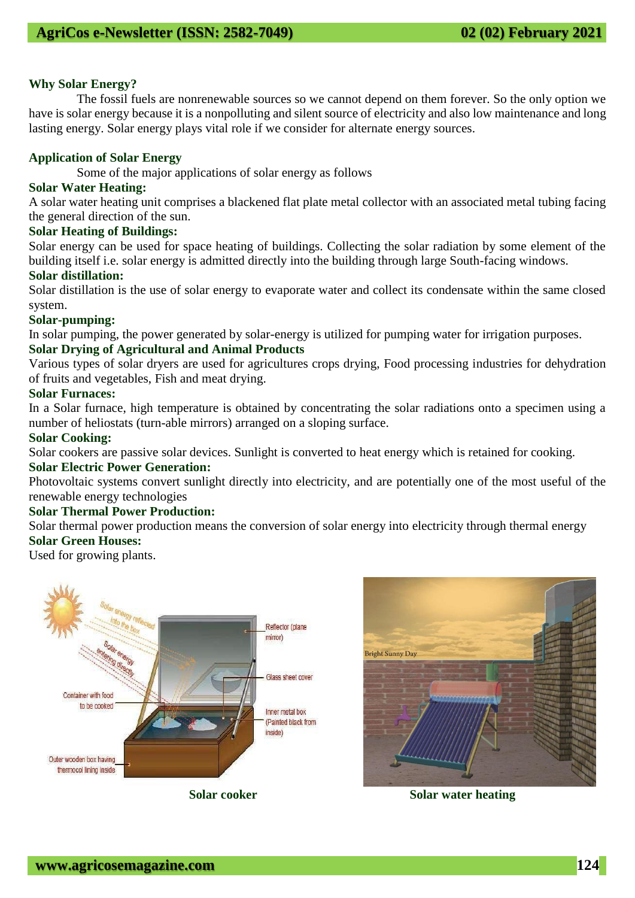#### **Why Solar Energy?**

The fossil fuels are nonrenewable sources so we cannot depend on them forever. So the only option we have is solar energy because it is a nonpolluting and silent source of electricity and also low maintenance and long lasting energy. Solar energy plays vital role if we consider for alternate energy sources.

#### **Application of Solar Energy**

Some of the major applications of solar energy as follows

#### **Solar Water Heating:**

A solar water heating unit comprises a blackened flat plate metal collector with an associated metal tubing facing the general direction of the sun.

#### **Solar Heating of Buildings:**

Solar energy can be used for space heating of buildings. Collecting the solar radiation by some element of the building itself i.e. solar energy is admitted directly into the building through large South-facing windows.

#### **Solar distillation:**

Solar distillation is the use of solar energy to evaporate water and collect its condensate within the same closed system.

#### **Solar-pumping:**

In solar pumping, the power generated by solar-energy is utilized for pumping water for irrigation purposes.

#### **Solar Drying of Agricultural and Animal Products**

Various types of solar dryers are used for agricultures crops drying, Food processing industries for dehydration of fruits and vegetables, Fish and meat drying.

#### **Solar Furnaces:**

In a Solar furnace, high temperature is obtained by concentrating the solar radiations onto a specimen using a number of heliostats (turn-able mirrors) arranged on a sloping surface.

#### **Solar Cooking:**

Solar cookers are passive solar devices. Sunlight is converted to heat energy which is retained for cooking.

#### **Solar Electric Power Generation:**

Photovoltaic systems convert sunlight directly into electricity, and are potentially one of the most useful of the renewable energy technologies

### **Solar Thermal Power Production:**

Solar thermal power production means the conversion of solar energy into electricity through thermal energy **Solar Green Houses:** 

Used for growing plants.



**Bright Sunny Day**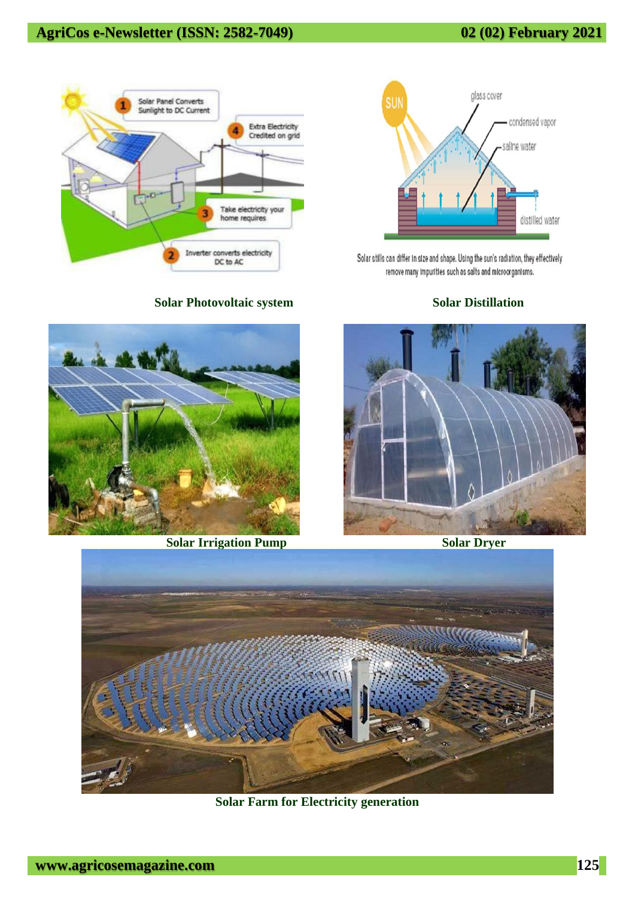# **AgriCos e-Newsletter (ISSN: 2582-7049) 02 (02) February 2021**



**Solar Photovoltaic system Solar Distillation** 



**Solar Irrigation Pump Solar Dryer** 



Solar stills can differ in size and shape. Using the sun's radiation, they effectively remove many impurities such as salts and microorganisms.





**Solar Farm for Electricity generation**